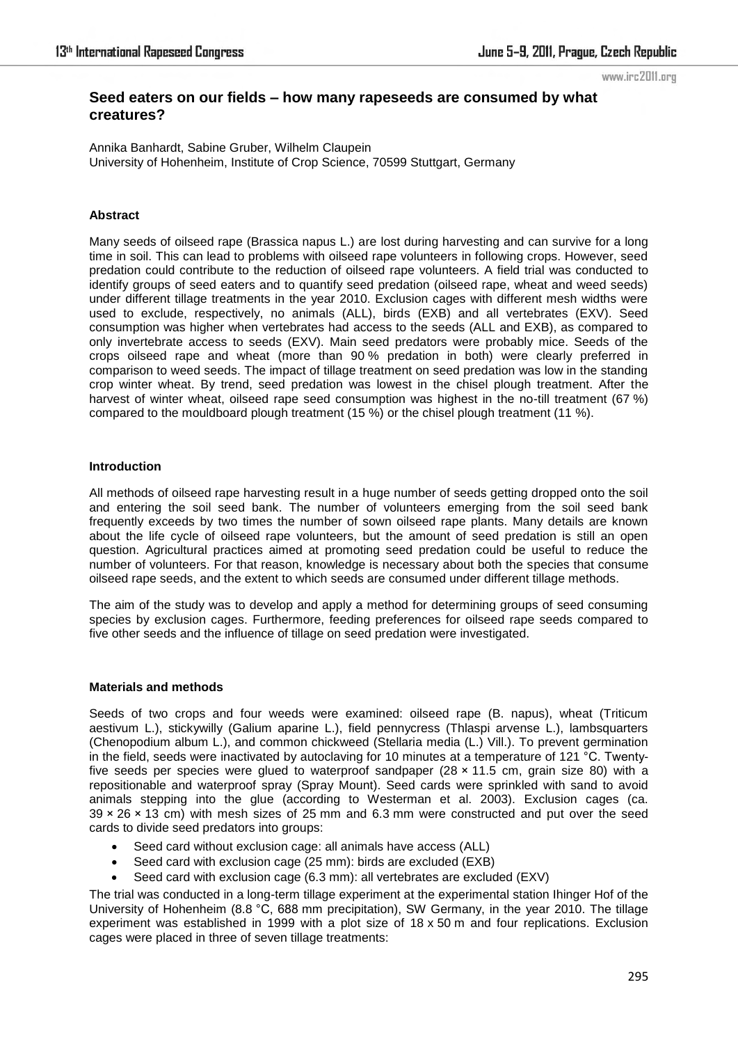#### www.irc2011.org

# **Seed eaters on our fields – how many rapeseeds are consumed by what creatures?**

Annika Banhardt, Sabine Gruber, Wilhelm Claupein University of Hohenheim, Institute of Crop Science, 70599 Stuttgart, Germany

# **Abstract**

Many seeds of oilseed rape (Brassica napus L.) are lost during harvesting and can survive for a long time in soil. This can lead to problems with oilseed rape volunteers in following crops. However, seed predation could contribute to the reduction of oilseed rape volunteers. A field trial was conducted to identify groups of seed eaters and to quantify seed predation (oilseed rape, wheat and weed seeds) under different tillage treatments in the year 2010. Exclusion cages with different mesh widths were used to exclude, respectively, no animals (ALL), birds (EXB) and all vertebrates (EXV). Seed consumption was higher when vertebrates had access to the seeds (ALL and EXB), as compared to only invertebrate access to seeds (EXV). Main seed predators were probably mice. Seeds of the crops oilseed rape and wheat (more than 90 % predation in both) were clearly preferred in comparison to weed seeds. The impact of tillage treatment on seed predation was low in the standing crop winter wheat. By trend, seed predation was lowest in the chisel plough treatment. After the harvest of winter wheat, oilseed rape seed consumption was highest in the no-till treatment (67 %) compared to the mouldboard plough treatment (15 %) or the chisel plough treatment (11 %).

#### **Introduction**

All methods of oilseed rape harvesting result in a huge number of seeds getting dropped onto the soil and entering the soil seed bank. The number of volunteers emerging from the soil seed bank frequently exceeds by two times the number of sown oilseed rape plants. Many details are known about the life cycle of oilseed rape volunteers, but the amount of seed predation is still an open question. Agricultural practices aimed at promoting seed predation could be useful to reduce the number of volunteers. For that reason, knowledge is necessary about both the species that consume oilseed rape seeds, and the extent to which seeds are consumed under different tillage methods.

The aim of the study was to develop and apply a method for determining groups of seed consuming species by exclusion cages. Furthermore, feeding preferences for oilseed rape seeds compared to five other seeds and the influence of tillage on seed predation were investigated.

## **Materials and methods**

Seeds of two crops and four weeds were examined: oilseed rape (B. napus), wheat (Triticum aestivum L.), stickywilly (Galium aparine L.), field pennycress (Thlaspi arvense L.), lambsquarters (Chenopodium album L.), and common chickweed (Stellaria media (L.) Vill.). To prevent germination in the field, seeds were inactivated by autoclaving for 10 minutes at a temperature of 121 °C. Twentyfive seeds per species were glued to waterproof sandpaper  $(28 \times 11.5 \text{ cm}, \text{ grain size } 80)$  with a repositionable and waterproof spray (Spray Mount). Seed cards were sprinkled with sand to avoid animals stepping into the glue (according to Westerman et al. 2003). Exclusion cages (ca.  $39 \times 26 \times 13$  cm) with mesh sizes of 25 mm and 6.3 mm were constructed and put over the seed cards to divide seed predators into groups:

- Seed card without exclusion cage: all animals have access (ALL)
- Seed card with exclusion cage (25 mm): birds are excluded (EXB)
- Seed card with exclusion cage (6.3 mm): all vertebrates are excluded (EXV)

The trial was conducted in a long-term tillage experiment at the experimental station Ihinger Hof of the University of Hohenheim (8.8 °C, 688 mm precipitation), SW Germany, in the year 2010. The tillage experiment was established in 1999 with a plot size of 18 x 50 m and four replications. Exclusion cages were placed in three of seven tillage treatments: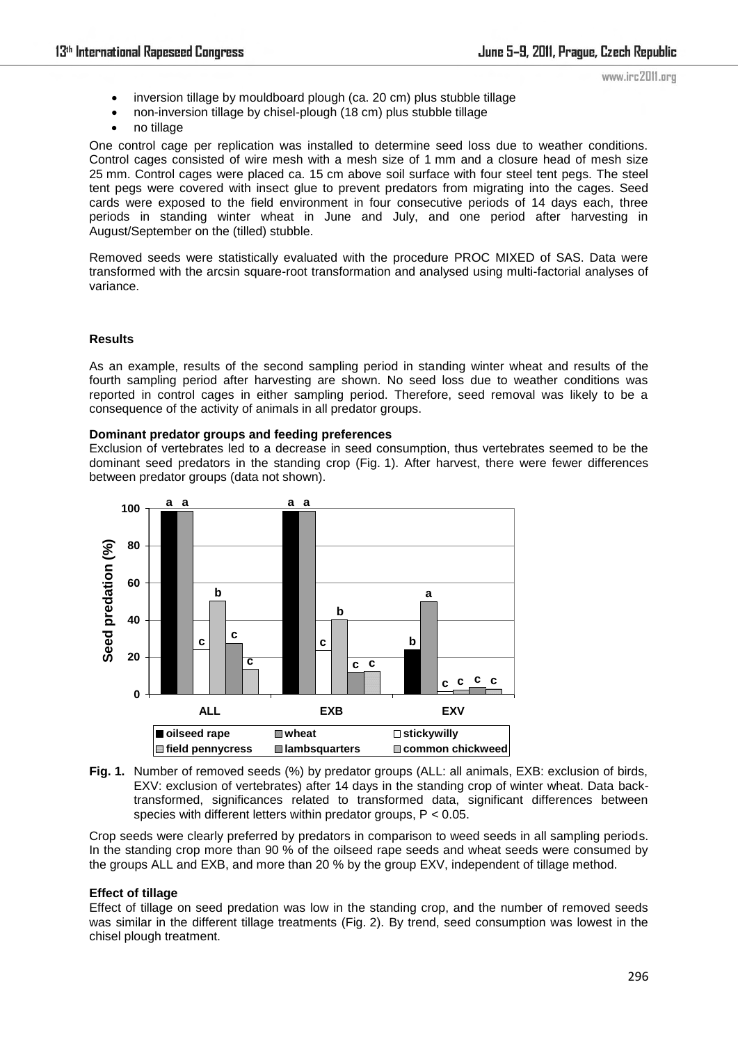- www.irc2011.org
- inversion tillage by mouldboard plough (ca. 20 cm) plus stubble tillage
- non-inversion tillage by chisel-plough (18 cm) plus stubble tillage
- no tillage

One control cage per replication was installed to determine seed loss due to weather conditions. Control cages consisted of wire mesh with a mesh size of 1 mm and a closure head of mesh size 25 mm. Control cages were placed ca. 15 cm above soil surface with four steel tent pegs. The steel tent pegs were covered with insect glue to prevent predators from migrating into the cages. Seed cards were exposed to the field environment in four consecutive periods of 14 days each, three periods in standing winter wheat in June and July, and one period after harvesting in August/September on the (tilled) stubble.

Removed seeds were statistically evaluated with the procedure PROC MIXED of SAS. Data were transformed with the arcsin square-root transformation and analysed using multi-factorial analyses of variance.

# **Results**

As an example, results of the second sampling period in standing winter wheat and results of the fourth sampling period after harvesting are shown. No seed loss due to weather conditions was reported in control cages in either sampling period. Therefore, seed removal was likely to be a consequence of the activity of animals in all predator groups.

# **Dominant predator groups and feeding preferences**

Exclusion of vertebrates led to a decrease in seed consumption, thus vertebrates seemed to be the dominant seed predators in the standing crop (Fig. 1). After harvest, there were fewer differences between predator groups (data not shown).





Crop seeds were clearly preferred by predators in comparison to weed seeds in all sampling periods. In the standing crop more than 90 % of the oilseed rape seeds and wheat seeds were consumed by the groups ALL and EXB, and more than 20 % by the group EXV, independent of tillage method.

# **Effect of tillage**

Effect of tillage on seed predation was low in the standing crop, and the number of removed seeds was similar in the different tillage treatments (Fig. 2). By trend, seed consumption was lowest in the chisel plough treatment.